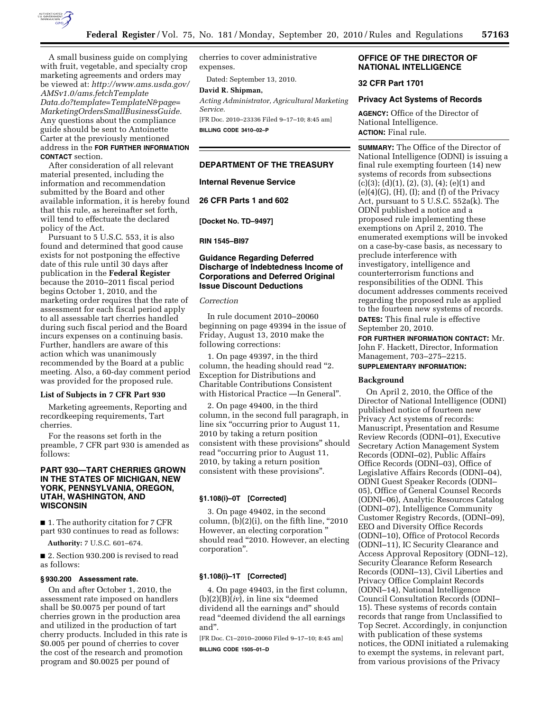

A small business guide on complying with fruit, vegetable, and specialty crop marketing agreements and orders may be viewed at: *[http://www.ams.usda.gov/](http://www.ams.usda.gov/AMSv1.0/ams.fetchTemplateData.do?template=TemplateN&page=MarketingOrdersSmallBusinessGuide) [AMSv1.0/ams.fetchTemplate](http://www.ams.usda.gov/AMSv1.0/ams.fetchTemplateData.do?template=TemplateN&page=MarketingOrdersSmallBusinessGuide) [Data.do?template=TemplateN&page=](http://www.ams.usda.gov/AMSv1.0/ams.fetchTemplateData.do?template=TemplateN&page=MarketingOrdersSmallBusinessGuide) [MarketingOrdersSmallBusinessGuide.](http://www.ams.usda.gov/AMSv1.0/ams.fetchTemplateData.do?template=TemplateN&page=MarketingOrdersSmallBusinessGuide)*  Any questions about the compliance guide should be sent to Antoinette Carter at the previously mentioned address in the **FOR FURTHER INFORMATION CONTACT** section.

After consideration of all relevant material presented, including the information and recommendation submitted by the Board and other available information, it is hereby found that this rule, as hereinafter set forth, will tend to effectuate the declared policy of the Act.

Pursuant to 5 U.S.C. 553, it is also found and determined that good cause exists for not postponing the effective date of this rule until 30 days after publication in the **Federal Register**  because the 2010–2011 fiscal period begins October 1, 2010, and the marketing order requires that the rate of assessment for each fiscal period apply to all assessable tart cherries handled during such fiscal period and the Board incurs expenses on a continuing basis. Further, handlers are aware of this action which was unanimously recommended by the Board at a public meeting. Also, a 60-day comment period was provided for the proposed rule.

### **List of Subjects in 7 CFR Part 930**

Marketing agreements, Reporting and recordkeeping requirements, Tart cherries.

For the reasons set forth in the preamble, 7 CFR part 930 is amended as follows:

# **PART 930—TART CHERRIES GROWN IN THE STATES OF MICHIGAN, NEW YORK, PENNSYLVANIA, OREGON, UTAH, WASHINGTON, AND WISCONSIN**

■ 1. The authority citation for 7 CFR part 930 continues to read as follows:

**Authority:** 7 U.S.C. 601–674.

■ 2. Section 930.200 is revised to read as follows:

#### **§ 930.200 Assessment rate.**

On and after October 1, 2010, the assessment rate imposed on handlers shall be \$0.0075 per pound of tart cherries grown in the production area and utilized in the production of tart cherry products. Included in this rate is \$0.005 per pound of cherries to cover the cost of the research and promotion program and \$0.0025 per pound of

cherries to cover administrative expenses.

Dated: September 13, 2010.

# **David R. Shipman,**

*Acting Administrator, Agricultural Marketing Service.* 

[FR Doc. 2010–23336 Filed 9–17–10; 8:45 am] **BILLING CODE 3410–02–P** 

#### **DEPARTMENT OF THE TREASURY**

**Internal Revenue Service** 

**26 CFR Parts 1 and 602** 

**[Docket No. TD–9497]** 

**RIN 1545–BI97** 

# **Guidance Regarding Deferred Discharge of Indebtedness Income of Corporations and Deferred Original Issue Discount Deductions**

#### *Correction*

In rule document 2010–20060 beginning on page 49394 in the issue of Friday, August 13, 2010 make the following corrections:

1. On page 49397, in the third column, the heading should read ''2. Exception for Distributions and Charitable Contributions Consistent with Historical Practice —In General''.

2. On page 49400, in the third column, in the second full paragraph, in line six "occurring prior to August 11, 2010 by taking a return position consistent with these provisions'' should read ''occurring prior to August 11, 2010, by taking a return position consistent with these provisions''.

### **§1.108(i)–0T [Corrected]**

3. On page 49402, in the second column,  $(b)(2)(i)$ , on the fifth line, "2010 However, an electing corporation '' should read ''2010. However, an electing corporation''.

### **§1.108(i)–1T [Corrected]**

4. On page 49403, in the first column,  $(b)(2)(B)(iv)$ , in line six "deemed" dividend all the earnings and'' should read ''deemed dividend the all earnings and''.

[FR Doc. C1–2010–20060 Filed 9–17–10; 8:45 am]

**BILLING CODE 1505–01–D** 

# **OFFICE OF THE DIRECTOR OF NATIONAL INTELLIGENCE**

### **32 CFR Part 1701**

#### **Privacy Act Systems of Records**

**AGENCY:** Office of the Director of National Intelligence. **ACTION:** Final rule.

**SUMMARY:** The Office of the Director of National Intelligence (ODNI) is issuing a final rule exempting fourteen (14) new systems of records from subsections  $(c)(3); (d)(1), (2), (3), (4); (e)(1)$  and  $(e)(4)(G)$ ,  $(H)$ ,  $(I)$ ; and  $(f)$  of the Privacy Act, pursuant to 5 U.S.C. 552a(k). The ODNI published a notice and a proposed rule implementing these exemptions on April 2, 2010. The enumerated exemptions will be invoked on a case-by-case basis, as necessary to preclude interference with investigatory, intelligence and counterterrorism functions and responsibilities of the ODNI. This document addresses comments received regarding the proposed rule as applied to the fourteen new systems of records. **DATES:** This final rule is effective September 20, 2010.

**FOR FURTHER INFORMATION CONTACT:** Mr. John F. Hackett, Director, Information Management, 703–275–2215.

# **SUPPLEMENTARY INFORMATION:**

#### **Background**

On April 2, 2010, the Office of the Director of National Intelligence (ODNI) published notice of fourteen new Privacy Act systems of records: Manuscript, Presentation and Resume Review Records (ODNI–01), Executive Secretary Action Management System Records (ODNI–02), Public Affairs Office Records (ODNI–03), Office of Legislative Affairs Records (ODNI–04), ODNI Guest Speaker Records (ODNI– 05), Office of General Counsel Records (ODNI–06), Analytic Resources Catalog (ODNI–07), Intelligence Community Customer Registry Records, (ODNI–09), EEO and Diversity Office Records (ODNI–10), Office of Protocol Records (ODNI–11), IC Security Clearance and Access Approval Repository (ODNI–12), Security Clearance Reform Research Records (ODNI–13), Civil Liberties and Privacy Office Complaint Records (ODNI–14), National Intelligence Council Consultation Records (ODNI– 15). These systems of records contain records that range from Unclassified to Top Secret. Accordingly, in conjunction with publication of these systems notices, the ODNI initiated a rulemaking to exempt the systems, in relevant part, from various provisions of the Privacy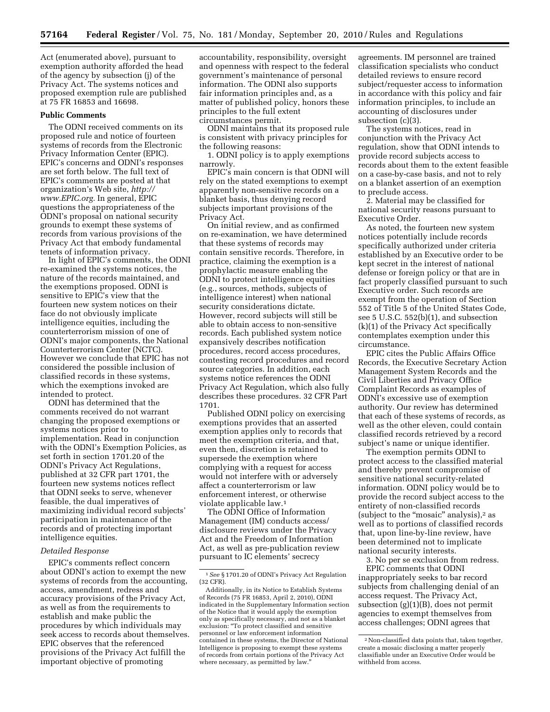Act (enumerated above), pursuant to exemption authority afforded the head of the agency by subsection (j) of the Privacy Act. The systems notices and proposed exemption rule are published at 75 FR 16853 and 16698.

#### **Public Comments**

The ODNI received comments on its proposed rule and notice of fourteen systems of records from the Electronic Privacy Information Center (EPIC). EPIC's concerns and ODNI's responses are set forth below. The full text of EPIC's comments are posted at that organization's Web site, *[http://](http://www.EPIC.org) [www.EPIC.org.](http://www.EPIC.org)* In general, EPIC questions the appropriateness of the ODNI's proposal on national security grounds to exempt these systems of records from various provisions of the Privacy Act that embody fundamental tenets of information privacy.

In light of EPIC's comments, the ODNI re-examined the systems notices, the nature of the records maintained, and the exemptions proposed. ODNI is sensitive to EPIC's view that the fourteen new system notices on their face do not obviously implicate intelligence equities, including the counterterrorism mission of one of ODNI's major components, the National Counterterrorism Center (NCTC). However we conclude that EPIC has not considered the possible inclusion of classified records in these systems, which the exemptions invoked are intended to protect.

ODNI has determined that the comments received do not warrant changing the proposed exemptions or systems notices prior to implementation. Read in conjunction with the ODNI's Exemption Policies, as set forth in section 1701.20 of the ODNI's Privacy Act Regulations, published at 32 CFR part 1701, the fourteen new systems notices reflect that ODNI seeks to serve, whenever feasible, the dual imperatives of maximizing individual record subjects' participation in maintenance of the records and of protecting important intelligence equities.

# *Detailed Response*

EPIC's comments reflect concern about ODNI's action to exempt the new systems of records from the accounting, access, amendment, redress and accuracy provisions of the Privacy Act, as well as from the requirements to establish and make public the procedures by which individuals may seek access to records about themselves. EPIC observes that the referenced provisions of the Privacy Act fulfill the important objective of promoting

accountability, responsibility, oversight and openness with respect to the federal government's maintenance of personal information. The ODNI also supports fair information principles and, as a matter of published policy, honors these principles to the full extent circumstances permit.

ODNI maintains that its proposed rule is consistent with privacy principles for the following reasons:

1. ODNI policy is to apply exemptions narrowly.

EPIC's main concern is that ODNI will rely on the stated exemptions to exempt apparently non-sensitive records on a blanket basis, thus denying record subjects important provisions of the Privacy Act.

On initial review, and as confirmed on re-examination, we have determined that these systems of records may contain sensitive records. Therefore, in practice, claiming the exemption is a prophylactic measure enabling the ODNI to protect intelligence equities (e.g., sources, methods, subjects of intelligence interest) when national security considerations dictate. However, record subjects will still be able to obtain access to non-sensitive records. Each published system notice expansively describes notification procedures, record access procedures, contesting record procedures and record source categories. In addition, each systems notice references the ODNI Privacy Act Regulation, which also fully describes these procedures. 32 CFR Part 1701.

Published ODNI policy on exercising exemptions provides that an asserted exemption applies only to records that meet the exemption criteria, and that, even then, discretion is retained to supersede the exemption where complying with a request for access would not interfere with or adversely affect a counterterrorism or law enforcement interest, or otherwise violate applicable law.1

The ODNI Office of Information Management (IM) conducts access/ disclosure reviews under the Privacy Act and the Freedom of Information Act, as well as pre-publication review pursuant to IC elements' secrecy

agreements. IM personnel are trained classification specialists who conduct detailed reviews to ensure record subject/requester access to information in accordance with this policy and fair information principles, to include an accounting of disclosures under subsection (c)(3).

The systems notices, read in conjunction with the Privacy Act regulation, show that ODNI intends to provide record subjects access to records about them to the extent feasible on a case-by-case basis, and not to rely on a blanket assertion of an exemption to preclude access.

2. Material may be classified for national security reasons pursuant to Executive Order.

As noted, the fourteen new system notices potentially include records specifically authorized under criteria established by an Executive order to be kept secret in the interest of national defense or foreign policy or that are in fact properly classified pursuant to such Executive order. Such records are exempt from the operation of Section 552 of Title 5 of the United States Code, see 5 U.S.C. 552(b)(1), and subsection (k)(1) of the Privacy Act specifically contemplates exemption under this circumstance.

EPIC cites the Public Affairs Office Records, the Executive Secretary Action Management System Records and the Civil Liberties and Privacy Office Complaint Records as examples of ODNI's excessive use of exemption authority. Our review has determined that each of these systems of records, as well as the other eleven, could contain classified records retrieved by a record subject's name or unique identifier.

The exemption permits ODNI to protect access to the classified material and thereby prevent compromise of sensitive national security-related information. ODNI policy would be to provide the record subject access to the entirety of non-classified records (subject to the "mosaic" analysis),<sup>2</sup> as well as to portions of classified records that, upon line-by-line review, have been determined not to implicate national security interests.

3. No per se exclusion from redress.

EPIC comments that ODNI inappropriately seeks to bar record subjects from challenging denial of an access request. The Privacy Act, subsection (g)(1)(B), does not permit agencies to exempt themselves from access challenges; ODNI agrees that

<sup>1</sup>*See* § 1701.20 of ODNI's Privacy Act Regulation (32 CFR).

Additionally, in its Notice to Establish Systems of Records (75 FR 16853, April 2, 2010), ODNI indicated in the Supplementary Information section of the Notice that it would apply the exemption only as specifically necessary, and not as a blanket exclusion: ''To protect classified and sensitive personnel or law enforcement information contained in these systems, the Director of National Intelligence is proposing to exempt these systems of records from certain portions of the Privacy Act where necessary, as permitted by law.''

<sup>2</sup>Non-classified data points that, taken together, create a mosaic disclosing a matter properly classifiable under an Executive Order would be withheld from access.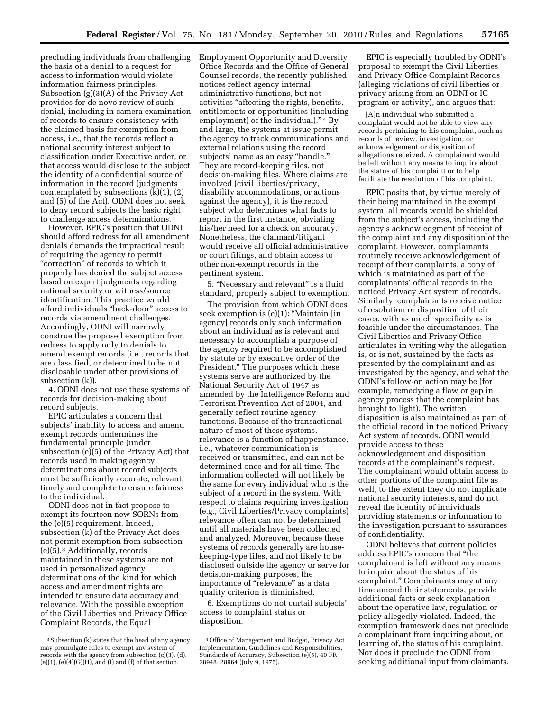precluding individuals from challenging the basis of a denial to a request for access to information would violate information fairness principles. Subsection (g)(3)(A) of the Privacy Act provides for de novo review of such denial, including in camera examination of records to ensure consistency with the claimed basis for exemption from access, i.e., that the records reflect a national security interest subject to classification under Executive order, or that access would disclose to the subject the identity of a confidential source of information in the record (judgments contemplated by subsections (k)(1), (2) and (5) of the Act). ODNI does not seek to deny record subjects the basic right to challenge access determinations.

However, EPIC's position that ODNI should afford redress for all amendment denials demands the impractical result of requiring the agency to permit ''correction'' of records to which it properly has denied the subject access based on expert judgments regarding national security or witness/source identification. This practice would afford individuals ''back-door'' access to records via amendment challenges. Accordingly, ODNI will narrowly construe the proposed exemption from redress to apply only to denials to amend exempt records (i.e., records that are classified, or determined to be not disclosable under other provisions of subsection (k)).

4. ODNI does not use these systems of records for decision-making about record subjects.

EPIC articulates a concern that subjects' inability to access and amend exempt records undermines the fundamental principle (under subsection (e)(5) of the Privacy Act) that records used in making agency determinations about record subjects must be sufficiently accurate, relevant, timely and complete to ensure fairness to the individual.

ODNI does not in fact propose to exempt its fourteen new SORNs from the (e)(5) requirement. Indeed, subsection (k) of the Privacy Act does not permit exemption from subsection (e)(5).3 Additionally, records maintained in these systems are not used in personalized agency determinations of the kind for which access and amendment rights are intended to ensure data accuracy and relevance. With the possible exception of the Civil Liberties and Privacy Office Complaint Records, the Equal

Employment Opportunity and Diversity Office Records and the Office of General Counsel records, the recently published notices reflect agency internal administrative functions, but not activities ''affecting the rights, benefits, entitlements or opportunities (including employment) of the individual)."<sup>4</sup> By and large, the systems at issue permit the agency to track communications and external relations using the record subjects' name as an easy "handle." They are record-keeping files, not decision-making files. Where claims are involved (civil liberties/privacy, disability accommodations, or actions against the agency), it is the record subject who determines what facts to report in the first instance, obviating his/her need for a check on accuracy. Nonetheless, the claimant/litigant would receive all official administrative or court filings, and obtain access to other non-exempt records in the pertinent system.

5. ''Necessary and relevant'' is a fluid standard, properly subject to exemption.

The provision from which ODNI does seek exemption is  $(e)(1)$ : "Maintain [in agency] records only such information about an individual as is relevant and necessary to accomplish a purpose of the agency required to be accomplished by statute or by executive order of the President.'' The purposes which these systems serve are authorized by the National Security Act of 1947 as amended by the Intelligence Reform and Terrorism Prevention Act of 2004, and generally reflect routine agency functions. Because of the transactional nature of most of these systems, relevance is a function of happenstance, i.e., whatever communication is received or transmitted, and can not be determined once and for all time. The information collected will not likely be the same for every individual who is the subject of a record in the system. With respect to claims requiring investigation (e.g., Civil Liberties/Privacy complaints) relevance often can not be determined until all materials have been collected and analyzed. Moreover, because these systems of records generally are housekeeping-type files, and not likely to be disclosed outside the agency or serve for decision-making purposes, the importance of "relevance" as a data quality criterion is diminished.

6. Exemptions do not curtail subjects' access to complaint status or disposition.

EPIC is especially troubled by ODNI's proposal to exempt the Civil Liberties and Privacy Office Complaint Records (alleging violations of civil liberties or privacy arising from an ODNI or IC program or activity), and argues that:

[A]n individual who submitted a complaint would not be able to view any records pertaining to his complaint, such as records of review, investigation, or acknowledgement or disposition of allegations received. A complainant would be left without any means to inquire about the status of his complaint or to help facilitate the resolution of his complaint.

EPIC posits that, by virtue merely of their being maintained in the exempt system, all records would be shielded from the subject's access, including the agency's acknowledgment of receipt of the complaint and any disposition of the complaint. However, complainants routinely receive acknowledgement of receipt of their complaints, a copy of which is maintained as part of the complainants' official records in the noticed Privacy Act system of records. Similarly, complainants receive notice of resolution or disposition of their cases, with as much specificity as is feasible under the circumstances. The Civil Liberties and Privacy Office articulates in writing why the allegation is, or is not, sustained by the facts as presented by the complainant and as investigated by the agency, and what the ODNI's follow-on action may be (for example, remedying a flaw or gap in agency process that the complaint has brought to light). The written disposition is also maintained as part of the official record in the noticed Privacy Act system of records. ODNI would provide access to these acknowledgement and disposition records at the complainant's request. The complainant would obtain access to other portions of the complaint file as well, to the extent they do not implicate national security interests, and do not reveal the identity of individuals providing statements or information to the investigation pursuant to assurances of confidentiality.

ODNI believes that current policies address EPIC's concern that ''the complainant is left without any means to inquire about the status of his complaint.'' Complainants may at any time amend their statements, provide additional facts or seek explanation about the operative law, regulation or policy allegedly violated. Indeed, the exemption framework does not preclude a complainant from inquiring about, or learning of, the status of his complaint. Nor does it preclude the ODNI from seeking additional input from claimants.

<sup>3</sup>Subsection (k) states that the head of any agency may promulgate rules to exempt any system of records with the agency from subsection (c)(3). (d).  $(e)(1)$ ,  $(e)(4)(G)(H)$ , and  $(I)$  and  $(f)$  of that section.

<sup>4</sup>Office of Management and Budget, Privacy Act Implementation, Guidelines and Responsibilities, Standards of Accuracy, Subsection (e)(5), 40 FR 28948, 28964 (July 9, 1975).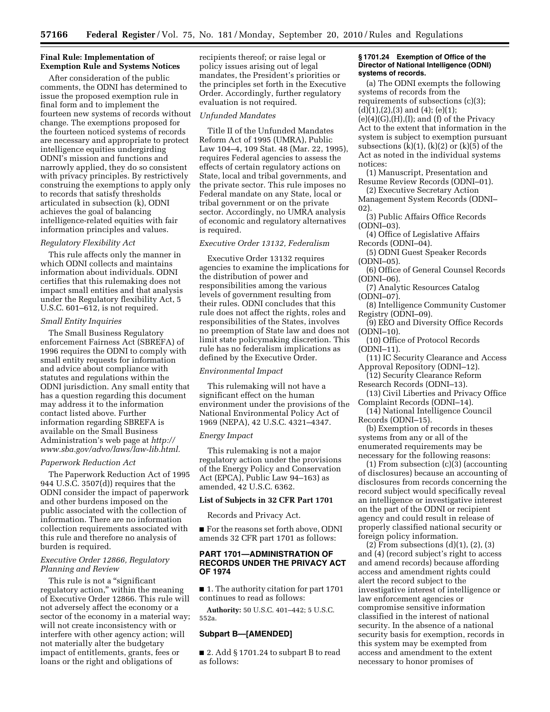### **Final Rule: Implementation of Exemption Rule and Systems Notices**

After consideration of the public comments, the ODNI has determined to issue the proposed exemption rule in final form and to implement the fourteen new systems of records without change. The exemptions proposed for the fourteen noticed systems of records are necessary and appropriate to protect intelligence equities undergirding ODNI's mission and functions and narrowly applied, they do so consistent with privacy principles. By restrictively construing the exemptions to apply only to records that satisfy thresholds articulated in subsection (k), ODNI achieves the goal of balancing intelligence-related equities with fair information principles and values.

### *Regulatory Flexibility Act*

This rule affects only the manner in which ODNI collects and maintains information about individuals. ODNI certifies that this rulemaking does not impact small entities and that analysis under the Regulatory flexibility Act, 5 U.S.C. 601–612, is not required.

#### *Small Entity Inquiries*

The Small Business Regulatory enforcement Fairness Act (SBREFA) of 1996 requires the ODNI to comply with small entity requests for information and advice about compliance with statutes and regulations within the ODNI jurisdiction. Any small entity that has a question regarding this document may address it to the information contact listed above. Further information regarding SBREFA is available on the Small Business Administration's web page at *http:// [www.sba.gov/advo/laws/law-lib.html.](http://www.sba.gov/advo/laws/law-lib.html)* 

#### *Paperwork Reduction Act*

The Paperwork Reduction Act of 1995 944 U.S.C. 3507(d)) requires that the ODNI consider the impact of paperwork and other burdens imposed on the public associated with the collection of information. There are no information collection requirements associated with this rule and therefore no analysis of burden is required.

### *Executive Order 12866, Regulatory Planning and Review*

This rule is not a ''significant regulatory action,'' within the meaning of Executive Order 12866. This rule will not adversely affect the economy or a sector of the economy in a material way; will not create inconsistency with or interfere with other agency action; will not materially alter the budgetary impact of entitlements, grants, fees or loans or the right and obligations of

recipients thereof; or raise legal or policy issues arising out of legal mandates, the President's priorities or the principles set forth in the Executive Order. Accordingly, further regulatory evaluation is not required.

#### *Unfunded Mandates*

Title II of the Unfunded Mandates Reform Act of 1995 (UMRA), Public Law 104–4, 109 Stat. 48 (Mar. 22, 1995), requires Federal agencies to assess the effects of certain regulatory actions on State, local and tribal governments, and the private sector. This rule imposes no Federal mandate on any State, local or tribal government or on the private sector. Accordingly, no UMRA analysis of economic and regulatory alternatives is required.

### *Executive Order 13132, Federalism*

Executive Order 13132 requires agencies to examine the implications for the distribution of power and responsibilities among the various levels of government resulting from their rules. ODNI concludes that this rule does not affect the rights, roles and responsibilities of the States, involves no preemption of State law and does not limit state policymaking discretion. This rule has no federalism implications as defined by the Executive Order.

### *Environmental Impact*

This rulemaking will not have a significant effect on the human environment under the provisions of the National Environmental Policy Act of 1969 (NEPA), 42 U.S.C. 4321–4347.

#### *Energy Impact*

This rulemaking is not a major regulatory action under the provisions of the Energy Policy and Conservation Act (EPCA), Public Law 94–163) as amended, 42 U.S.C. 6362.

### **List of Subjects in 32 CFR Part 1701**

Records and Privacy Act.

■ For the reasons set forth above, ODNI amends 32 CFR part 1701 as follows:

### **PART 1701—ADMINISTRATION OF RECORDS UNDER THE PRIVACY ACT OF 1974**

■ 1. The authority citation for part 1701 continues to read as follows:

**Authority:** 50 U.S.C. 401–442; 5 U.S.C. 552a.

### **Subpart B—[AMENDED]**

■ 2. Add § 1701.24 to subpart B to read as follows:

### **§ 1701.24 Exemption of Office of the Director of National Intelligence (ODNI) systems of records.**

(a) The ODNI exempts the following systems of records from the requirements of subsections (c)(3);  $(d)(1),(2),(3)$  and  $(4)$ ;  $(e)(1)$ ;  $(e)(4)(G),(H),(I);$  and  $(f)$  of the Privacy Act to the extent that information in the system is subject to exemption pursuant subsections  $(k)(1)$ ,  $(k)(2)$  or  $(k)(5)$  of the Act as noted in the individual systems notices:

(1) Manuscript, Presentation and Resume Review Records (ODNI–01).

(2) Executive Secretary Action Management System Records (ODNI–

- 02).
- (3) Public Affairs Office Records (ODNI–03).
- (4) Office of Legislative Affairs Records (ODNI–04).
- (5) ODNI Guest Speaker Records (ODNI–05).
- (6) Office of General Counsel Records (ODNI–06).
- (7) Analytic Resources Catalog (ODNI–07).
- (8) Intelligence Community Customer Registry (ODNI–09).
- (9) EEO and Diversity Office Records (ODNI–10).
- (10) Office of Protocol Records (ODNI–11).
- (11) IC Security Clearance and Access Approval Repository (ODNI–12).
- (12) Security Clearance Reform Research Records (ODNI–13).
- 

(13) Civil Liberties and Privacy Office Complaint Records (ODNI–14).

(14) National Intelligence Council Records (ODNI–15).

(b) Exemption of records in theses systems from any or all of the enumerated requirements may be necessary for the following reasons:

(1) From subsection (c)(3) (accounting of disclosures) because an accounting of disclosures from records concerning the record subject would specifically reveal an intelligence or investigative interest on the part of the ODNI or recipient agency and could result in release of properly classified national security or foreign policy information.

(2) From subsections (d)(1), (2), (3) and (4) (record subject's right to access and amend records) because affording access and amendment rights could alert the record subject to the investigative interest of intelligence or law enforcement agencies or compromise sensitive information classified in the interest of national security. In the absence of a national security basis for exemption, records in this system may be exempted from access and amendment to the extent necessary to honor promises of